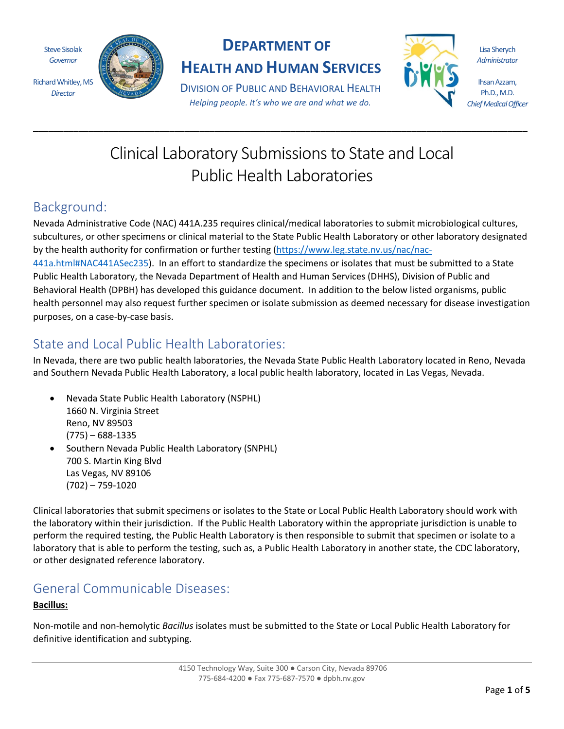Steve Sisolak *Governor*

Richard Whitley, MS *Director*



# **DEPARTMENT OF**

**HEALTH AND HUMAN SERVICES**

DIVISION OF PUBLIC AND BEHAVIORAL HEALTH *Helping people. It's who we are and what we do.*

**\_\_\_\_\_\_\_\_\_\_\_\_\_\_\_\_\_\_\_\_\_\_\_\_\_\_\_\_\_\_\_\_\_\_\_\_\_\_\_\_\_\_\_\_\_\_\_\_\_\_\_\_\_\_\_\_\_\_\_\_\_\_\_\_\_\_\_\_\_\_\_\_\_\_\_\_\_\_\_\_\_\_\_\_\_\_\_\_\_\_\_\_\_\_\_\_\_\_**



Lisa Sherych *Administrator*

Ihsan Azzam, Ph.D., M.D. *Chief Medical Officer*

# Clinical Laboratory Submissions to State and Local Public Health Laboratories

# Background:

Nevada Administrative Code (NAC) 441A.235 requires clinical/medical laboratories to submit microbiological cultures, subcultures, or other specimens or clinical material to the State Public Health Laboratory or other laboratory designated by the health authority for confirmation or further testing (https://www.leg.state.nv.us/nac/nac-441a.html#NAC441ASec235). In an effort to standardize the specimens or isolates that must be submitted to a State Public Health Laboratory, the Nevada Department of Health and Human Services (DHHS), Division of Public and Behavioral Health (DPBH) has developed this guidance document. In addition to the below listed organisms, public health personnel may also request further specimen or isolate submission as deemed necessary for disease investigation

purposes, on a case-by-case basis.

# State and Local Public Health Laboratories:

In Nevada, there are two public health laboratories, the Nevada State Public Health Laboratory located in Reno, Nevada and Southern Nevada Public Health Laboratory, a local public health laboratory, located in Las Vegas, Nevada.

- Nevada State Public Health Laboratory (NSPHL) 1660 N. Virginia Street Reno, NV 89503 (775) – 688-1335
- Southern Nevada Public Health Laboratory (SNPHL) 700 S. Martin King Blvd Las Vegas, NV 89106 (702) – 759-1020

Clinical laboratories that submit specimens or isolates to the State or Local Public Health Laboratory should work with the laboratory within their jurisdiction. If the Public Health Laboratory within the appropriate jurisdiction is unable to perform the required testing, the Public Health Laboratory is then responsible to submit that specimen or isolate to a laboratory that is able to perform the testing, such as, a Public Health Laboratory in another state, the CDC laboratory, or other designated reference laboratory.

# General Communicable Diseases:

# **Bacillus:**

Non-motile and non-hemolytic *Bacillus* isolates must be submitted to the State or Local Public Health Laboratory for definitive identification and subtyping.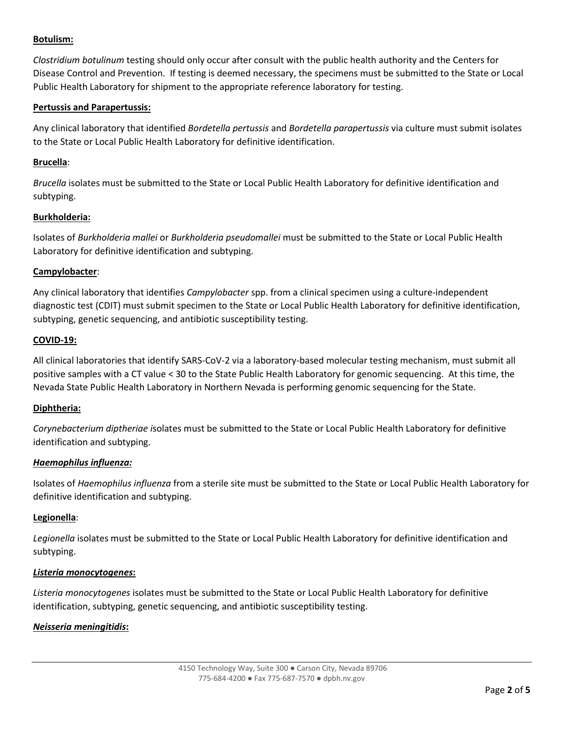### **Botulism:**

*Clostridium botulinum* testing should only occur after consult with the public health authority and the Centers for Disease Control and Prevention. If testing is deemed necessary, the specimens must be submitted to the State or Local Public Health Laboratory for shipment to the appropriate reference laboratory for testing.

#### **Pertussis and Parapertussis:**

Any clinical laboratory that identified *Bordetella pertussis* and *Bordetella parapertussis* via culture must submit isolates to the State or Local Public Health Laboratory for definitive identification.

#### **Brucella**:

*Brucella* isolates must be submitted to the State or Local Public Health Laboratory for definitive identification and subtyping.

#### **Burkholderia:**

Isolates of *Burkholderia mallei* or *Burkholderia pseudomallei* must be submitted to the State or Local Public Health Laboratory for definitive identification and subtyping.

#### **Campylobacter**:

Any clinical laboratory that identifies *Campylobacter* spp. from a clinical specimen using a culture-independent diagnostic test (CDIT) must submit specimen to the State or Local Public Health Laboratory for definitive identification, subtyping, genetic sequencing, and antibiotic susceptibility testing.

#### **COVID-19:**

All clinical laboratories that identify SARS-CoV-2 via a laboratory-based molecular testing mechanism, must submit all positive samples with a CT value < 30 to the State Public Health Laboratory for genomic sequencing. At this time, the Nevada State Public Health Laboratory in Northern Nevada is performing genomic sequencing for the State.

#### **Diphtheria:**

*Corynebacterium diptheriae i*solates must be submitted to the State or Local Public Health Laboratory for definitive identification and subtyping.

#### *Haemophilus influenza:*

Isolates of *Haemophilus influenza* from a sterile site must be submitted to the State or Local Public Health Laboratory for definitive identification and subtyping.

#### **Legionella**:

*Legionella* isolates must be submitted to the State or Local Public Health Laboratory for definitive identification and subtyping.

#### *Listeria monocytogenes***:**

*Listeria monocytogenes* isolates must be submitted to the State or Local Public Health Laboratory for definitive identification, subtyping, genetic sequencing, and antibiotic susceptibility testing.

#### *Neisseria meningitidis***:**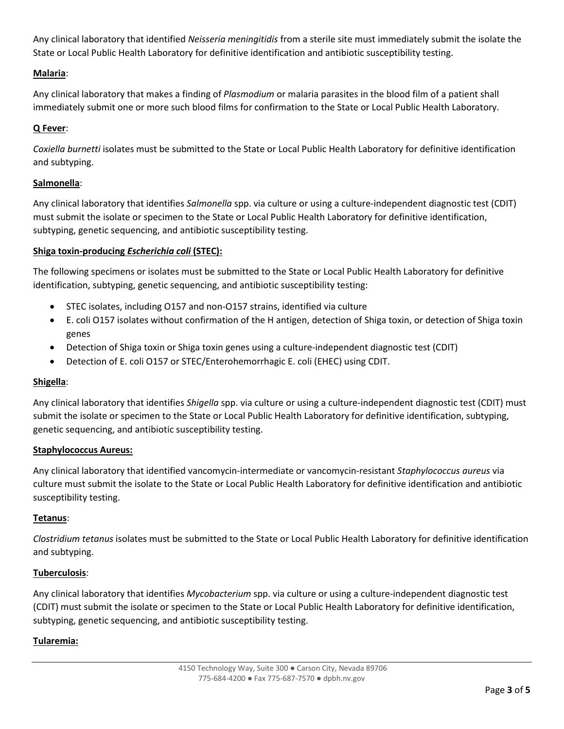Any clinical laboratory that identified *Neisseria meningitidis* from a sterile site must immediately submit the isolate the State or Local Public Health Laboratory for definitive identification and antibiotic susceptibility testing.

# **Malaria**:

Any clinical laboratory that makes a finding of *Plasmodium* or malaria parasites in the blood film of a patient shall immediately submit one or more such blood films for confirmation to the State or Local Public Health Laboratory.

### **Q Fever**:

*Coxiella burnetti* isolates must be submitted to the State or Local Public Health Laboratory for definitive identification and subtyping.

### **Salmonella**:

Any clinical laboratory that identifies *Salmonella* spp. via culture or using a culture-independent diagnostic test (CDIT) must submit the isolate or specimen to the State or Local Public Health Laboratory for definitive identification, subtyping, genetic sequencing, and antibiotic susceptibility testing.

#### **Shiga toxin-producing** *Escherichia coli* **(STEC):**

The following specimens or isolates must be submitted to the State or Local Public Health Laboratory for definitive identification, subtyping, genetic sequencing, and antibiotic susceptibility testing:

- STEC isolates, including O157 and non-O157 strains, identified via culture
- E. coli O157 isolates without confirmation of the H antigen, detection of Shiga toxin, or detection of Shiga toxin genes
- Detection of Shiga toxin or Shiga toxin genes using a culture-independent diagnostic test (CDIT)
- Detection of E. coli O157 or STEC/Enterohemorrhagic E. coli (EHEC) using CDIT.

### **Shigella**:

Any clinical laboratory that identifies *Shigella* spp. via culture or using a culture-independent diagnostic test (CDIT) must submit the isolate or specimen to the State or Local Public Health Laboratory for definitive identification, subtyping, genetic sequencing, and antibiotic susceptibility testing.

### **Staphylococcus Aureus:**

Any clinical laboratory that identified vancomycin-intermediate or vancomycin-resistant *Staphylococcus aureus* via culture must submit the isolate to the State or Local Public Health Laboratory for definitive identification and antibiotic susceptibility testing.

### **Tetanus**:

*Clostridium tetanus* isolates must be submitted to the State or Local Public Health Laboratory for definitive identification and subtyping.

#### **Tuberculosis**:

Any clinical laboratory that identifies *Mycobacterium* spp. via culture or using a culture-independent diagnostic test (CDIT) must submit the isolate or specimen to the State or Local Public Health Laboratory for definitive identification, subtyping, genetic sequencing, and antibiotic susceptibility testing.

### **Tularemia:**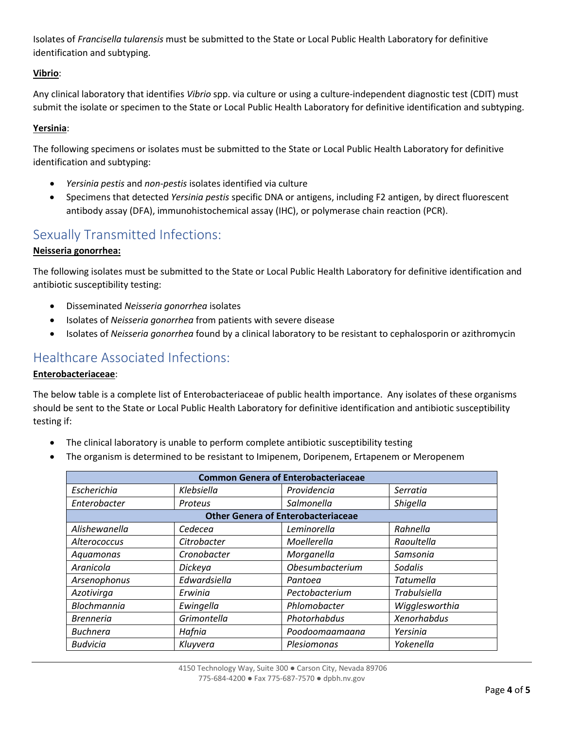Isolates of *Francisella tularensis* must be submitted to the State or Local Public Health Laboratory for definitive identification and subtyping.

# **Vibrio**:

Any clinical laboratory that identifies *Vibrio* spp. via culture or using a culture-independent diagnostic test (CDIT) must submit the isolate or specimen to the State or Local Public Health Laboratory for definitive identification and subtyping.

# **Yersinia**:

The following specimens or isolates must be submitted to the State or Local Public Health Laboratory for definitive identification and subtyping:

- *Yersinia pestis* and *non-pestis* isolates identified via culture
- Specimens that detected *Yersinia pestis* specific DNA or antigens, including F2 antigen, by direct fluorescent antibody assay (DFA), immunohistochemical assay (IHC), or polymerase chain reaction (PCR).

# Sexually Transmitted Infections:

### **Neisseria gonorrhea:**

The following isolates must be submitted to the State or Local Public Health Laboratory for definitive identification and antibiotic susceptibility testing:

- Disseminated *Neisseria gonorrhea* isolates
- Isolates of *Neisseria gonorrhea* from patients with severe disease
- Isolates of *Neisseria gonorrhea* found by a clinical laboratory to be resistant to cephalosporin or azithromycin

# Healthcare Associated Infections:

### **Enterobacteriaceae**:

The below table is a complete list of Enterobacteriaceae of public health importance. Any isolates of these organisms should be sent to the State or Local Public Health Laboratory for definitive identification and antibiotic susceptibility testing if:

- The clinical laboratory is unable to perform complete antibiotic susceptibility testing
- The organism is determined to be resistant to Imipenem, Doripenem, Ertapenem or Meropenem

|                  |              | <b>Common Genera of Enterobacteriaceae</b> |                     |
|------------------|--------------|--------------------------------------------|---------------------|
| Escherichia      | Klebsiella   | Providencia                                | Serratia            |
| Enterobacter     | Proteus      | Salmonella                                 | Shigella            |
|                  |              | <b>Other Genera of Enterobacteriaceae</b>  |                     |
| Alishewanella    | Cedecea      | Leminorella                                | Rahnella            |
| Alterococcus     | Citrobacter  | Moellerella                                | Raoultella          |
| Aquamonas        | Cronobacter  | Morganella                                 | Samsonia            |
| Aranicola        | Dickeya      | Obesumbacterium                            | Sodalis             |
| Arsenophonus     | Edwardsiella | Pantoea                                    | Tatumella           |
| Azotivirga       | Erwinia      | Pectobacterium                             | <b>Trabulsiella</b> |
| Blochmannia      | Ewingella    | Phlomobacter                               | Wigglesworthia      |
| <b>Brenneria</b> | Grimontella  | Photorhabdus                               | Xenorhabdus         |
| <b>Buchnera</b>  | Hafnia       | Poodoomaamaana                             | Yersinia            |
| <b>Budvicia</b>  | Kluyvera     | Plesiomonas                                | Yokenella           |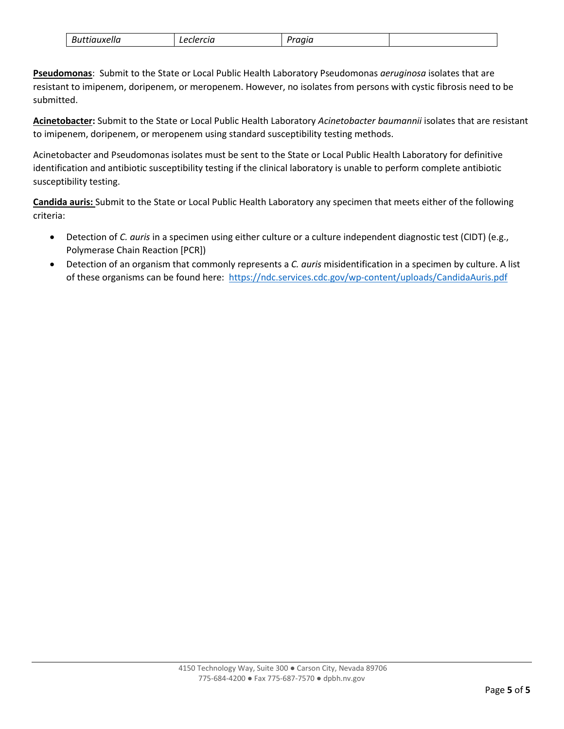| ,,,,<br>. .<br>п.<br>-<br>--------<br>. |
|-----------------------------------------|
|-----------------------------------------|

**Pseudomonas**: Submit to the State or Local Public Health Laboratory Pseudomonas *aeruginosa* isolates that are resistant to imipenem, doripenem, or meropenem. However, no isolates from persons with cystic fibrosis need to be submitted.

**Acinetobacter:** Submit to the State or Local Public Health Laboratory *Acinetobacter baumannii* isolates that are resistant to imipenem, doripenem, or meropenem using standard susceptibility testing methods.

Acinetobacter and Pseudomonas isolates must be sent to the State or Local Public Health Laboratory for definitive identification and antibiotic susceptibility testing if the clinical laboratory is unable to perform complete antibiotic susceptibility testing.

**Candida auris:** Submit to the State or Local Public Health Laboratory any specimen that meets either of the following criteria:

- Detection of *C. auris* in a specimen using either culture or a culture independent diagnostic test (CIDT) (e.g., Polymerase Chain Reaction [PCR])
- Detection of an organism that commonly represents a *C. auris* misidentification in a specimen by culture. A list of these organisms can be found here: https://ndc.services.cdc.gov/wp-content/uploads/CandidaAuris.pdf